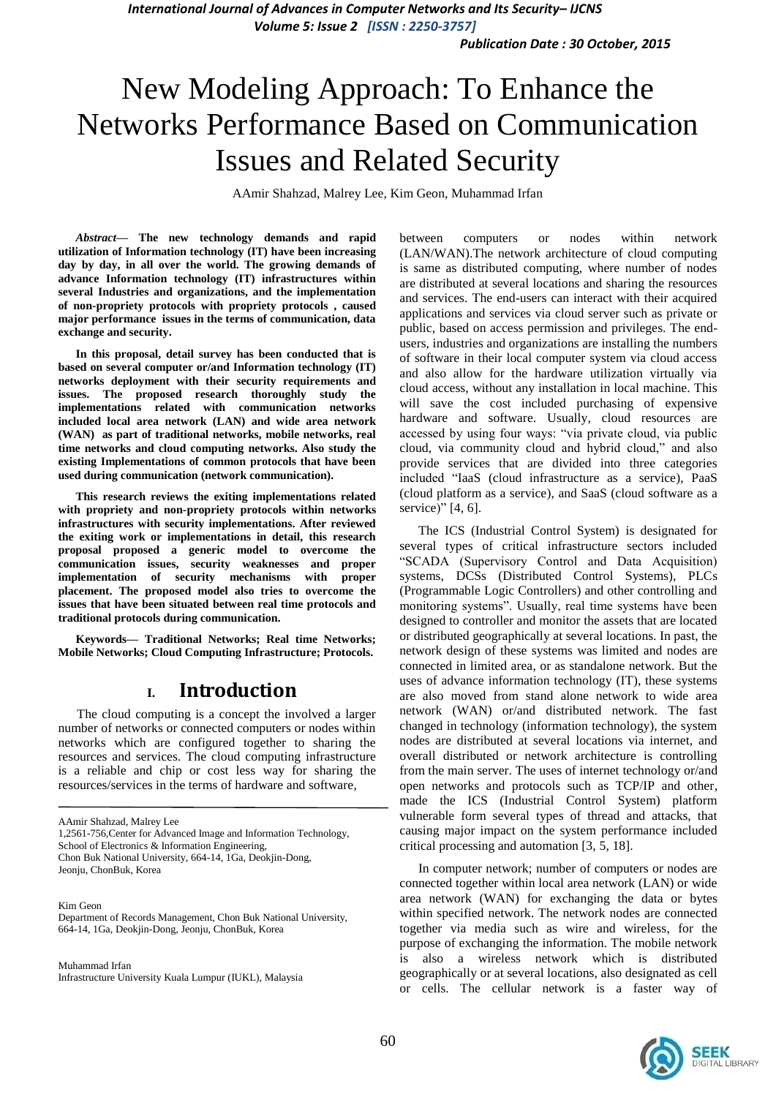*International Journal of Advances in Computer Networks and Its Security– IJCNS Volume 5: Issue 2 [ISSN : 2250-3757]* 

*Publication Date : 30 October, 2015*

# New Modeling Approach: To Enhance the Networks Performance Based on Communication Issues and Related Security

AAmir Shahzad, Malrey Lee, Kim Geon, Muhammad Irfan

*Abstract***— The new technology demands and rapid utilization of Information technology (IT) have been increasing day by day, in all over the world. The growing demands of advance Information technology (IT) infrastructures within several Industries and organizations, and the implementation of non-propriety protocols with propriety protocols , caused major performance issues in the terms of communication, data exchange and security.** 

**In this proposal, detail survey has been conducted that is based on several computer or/and Information technology (IT) networks deployment with their security requirements and issues. The proposed research thoroughly study the implementations related with communication networks included local area network (LAN) and wide area network (WAN) as part of traditional networks, mobile networks, real time networks and cloud computing networks. Also study the existing Implementations of common protocols that have been used during communication (network communication).**

**This research reviews the exiting implementations related with propriety and non-propriety protocols within networks infrastructures with security implementations. After reviewed the exiting work or implementations in detail, this research proposal proposed a generic model to overcome the communication issues, security weaknesses and proper implementation of security mechanisms with proper placement. The proposed model also tries to overcome the issues that have been situated between real time protocols and traditional protocols during communication.**

**Keywords— Traditional Networks; Real time Networks; Mobile Networks; Cloud Computing Infrastructure; Protocols.**

#### **I. Introduction**

The cloud computing is a concept the involved a larger number of networks or connected computers or nodes within networks which are configured together to sharing the resources and services. The cloud computing infrastructure is a reliable and chip or cost less way for sharing the resources/services in the terms of hardware and software,

AAmir Shahzad, Malrey Lee

Jeonju, ChonBuk, Korea

Kim Geon Department of Records Management, Chon Buk National University, 664-14, 1Ga, Deokjin-Dong, Jeonju, ChonBuk, Korea

Muhammad Irfan Infrastructure University Kuala Lumpur (IUKL), Malaysia

between computers or nodes within network (LAN/WAN).The network architecture of cloud computing is same as distributed computing, where number of nodes are distributed at several locations and sharing the resources and services. The end-users can interact with their acquired applications and services via cloud server such as private or public, based on access permission and privileges. The endusers, industries and organizations are installing the numbers of software in their local computer system via cloud access and also allow for the hardware utilization virtually via cloud access, without any installation in local machine. This will save the cost included purchasing of expensive hardware and software. Usually, cloud resources are accessed by using four ways: "via private cloud, via public cloud, via community cloud and hybrid cloud," and also provide services that are divided into three categories included "IaaS (cloud infrastructure as a service), PaaS (cloud platform as a service), and SaaS (cloud software as a service)" [4, 6].

The ICS (Industrial Control System) is designated for several types of critical infrastructure sectors included "SCADA (Supervisory Control and Data Acquisition) systems, DCSs (Distributed Control Systems), PLCs (Programmable Logic Controllers) and other controlling and monitoring systems". Usually, real time systems have been designed to controller and monitor the assets that are located or distributed geographically at several locations. In past, the network design of these systems was limited and nodes are connected in limited area, or as standalone network. But the uses of advance information technology (IT), these systems are also moved from stand alone network to wide area network (WAN) or/and distributed network. The fast changed in technology (information technology), the system nodes are distributed at several locations via internet, and overall distributed or network architecture is controlling from the main server. The uses of internet technology or/and open networks and protocols such as TCP/IP and other, made the ICS (Industrial Control System) platform vulnerable form several types of thread and attacks, that causing major impact on the system performance included critical processing and automation [3, 5, 18].

In computer network; number of computers or nodes are connected together within local area network (LAN) or wide area network (WAN) for exchanging the data or bytes within specified network. The network nodes are connected together via media such as wire and wireless, for the purpose of exchanging the information. The mobile network is also a wireless network which is distributed geographically or at several locations, also designated as cell or cells. The cellular network is a faster way of



<sup>1,2561-756,</sup>Center for Advanced Image and Information Technology, School of Electronics & Information Engineering,

Chon Buk National University, 664-14, 1Ga, Deokjin-Dong,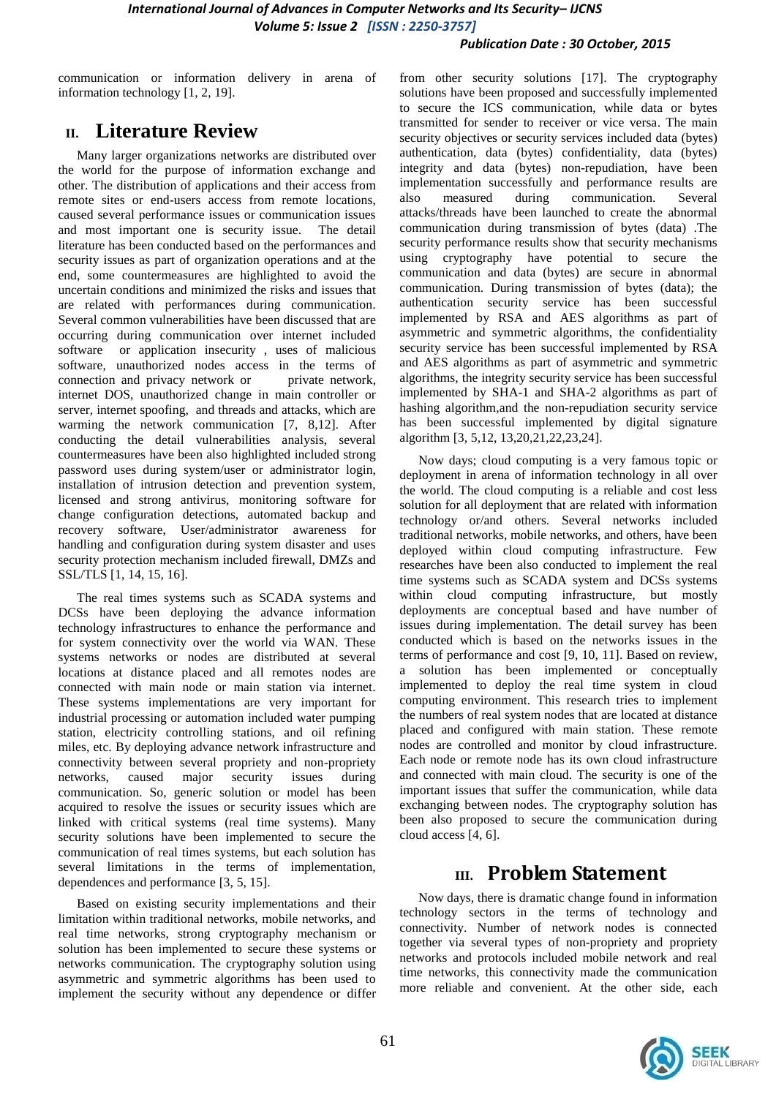*International Journal of Advances in Computer Networks and Its Security– IJCNS Volume 5: Issue 2 [ISSN : 2250-3757]* 

#### *Publication Date : 30 October, 2015*

communication or information delivery in arena of information technology [1, 2, 19].

# **II. Literature Review**

Many larger organizations networks are distributed over the world for the purpose of information exchange and other. The distribution of applications and their access from remote sites or end-users access from remote locations, caused several performance issues or communication issues and most important one is security issue. The detail literature has been conducted based on the performances and security issues as part of organization operations and at the end, some countermeasures are highlighted to avoid the uncertain conditions and minimized the risks and issues that are related with performances during communication. Several common vulnerabilities have been discussed that are occurring during communication over internet included software or application insecurity , uses of malicious software, unauthorized nodes access in the terms of connection and privacy network or private network, internet DOS, unauthorized change in main controller or server, internet spoofing, and threads and attacks, which are warming the network communication [7, 8,12]. After conducting the detail vulnerabilities analysis, several countermeasures have been also highlighted included strong password uses during system/user or administrator login, installation of intrusion detection and prevention system, licensed and strong antivirus, monitoring software for change configuration detections, automated backup and recovery software, User/administrator awareness for handling and configuration during system disaster and uses security protection mechanism included firewall, DMZs and SSL/TLS [1, 14, 15, 16].

The real times systems such as SCADA systems and DCSs have been deploying the advance information technology infrastructures to enhance the performance and for system connectivity over the world via WAN. These systems networks or nodes are distributed at several locations at distance placed and all remotes nodes are connected with main node or main station via internet. These systems implementations are very important for industrial processing or automation included water pumping station, electricity controlling stations, and oil refining miles, etc. By deploying advance network infrastructure and connectivity between several propriety and non-propriety networks, caused major security issues during communication. So, generic solution or model has been acquired to resolve the issues or security issues which are linked with critical systems (real time systems). Many security solutions have been implemented to secure the communication of real times systems, but each solution has several limitations in the terms of implementation, dependences and performance [3, 5, 15].

Based on existing security implementations and their limitation within traditional networks, mobile networks, and real time networks, strong cryptography mechanism or solution has been implemented to secure these systems or networks communication. The cryptography solution using asymmetric and symmetric algorithms has been used to implement the security without any dependence or differ

from other security solutions [17]. The cryptography solutions have been proposed and successfully implemented to secure the ICS communication, while data or bytes transmitted for sender to receiver or vice versa. The main security objectives or security services included data (bytes) authentication, data (bytes) confidentiality, data (bytes) integrity and data (bytes) non-repudiation, have been implementation successfully and performance results are also measured during communication. Several attacks/threads have been launched to create the abnormal communication during transmission of bytes (data) .The security performance results show that security mechanisms using cryptography have potential to secure the communication and data (bytes) are secure in abnormal communication. During transmission of bytes (data); the authentication security service has been successful implemented by RSA and AES algorithms as part of asymmetric and symmetric algorithms, the confidentiality security service has been successful implemented by RSA and AES algorithms as part of asymmetric and symmetric algorithms, the integrity security service has been successful implemented by SHA-1 and SHA-2 algorithms as part of hashing algorithm,and the non-repudiation security service has been successful implemented by digital signature algorithm [3, 5,12, 13,20,21,22,23,24].

Now days; cloud computing is a very famous topic or deployment in arena of information technology in all over the world. The cloud computing is a reliable and cost less solution for all deployment that are related with information technology or/and others. Several networks included traditional networks, mobile networks, and others, have been deployed within cloud computing infrastructure. Few researches have been also conducted to implement the real time systems such as SCADA system and DCSs systems within cloud computing infrastructure, but mostly deployments are conceptual based and have number of issues during implementation. The detail survey has been conducted which is based on the networks issues in the terms of performance and cost [9, 10, 11]. Based on review, a solution has been implemented or conceptually implemented to deploy the real time system in cloud computing environment. This research tries to implement the numbers of real system nodes that are located at distance placed and configured with main station. These remote nodes are controlled and monitor by cloud infrastructure. Each node or remote node has its own cloud infrastructure and connected with main cloud. The security is one of the important issues that suffer the communication, while data exchanging between nodes. The cryptography solution has been also proposed to secure the communication during cloud access [4, 6].

### **III. Problem Statement**

Now days, there is dramatic change found in information technology sectors in the terms of technology and connectivity. Number of network nodes is connected together via several types of non-propriety and propriety networks and protocols included mobile network and real time networks, this connectivity made the communication more reliable and convenient. At the other side, each

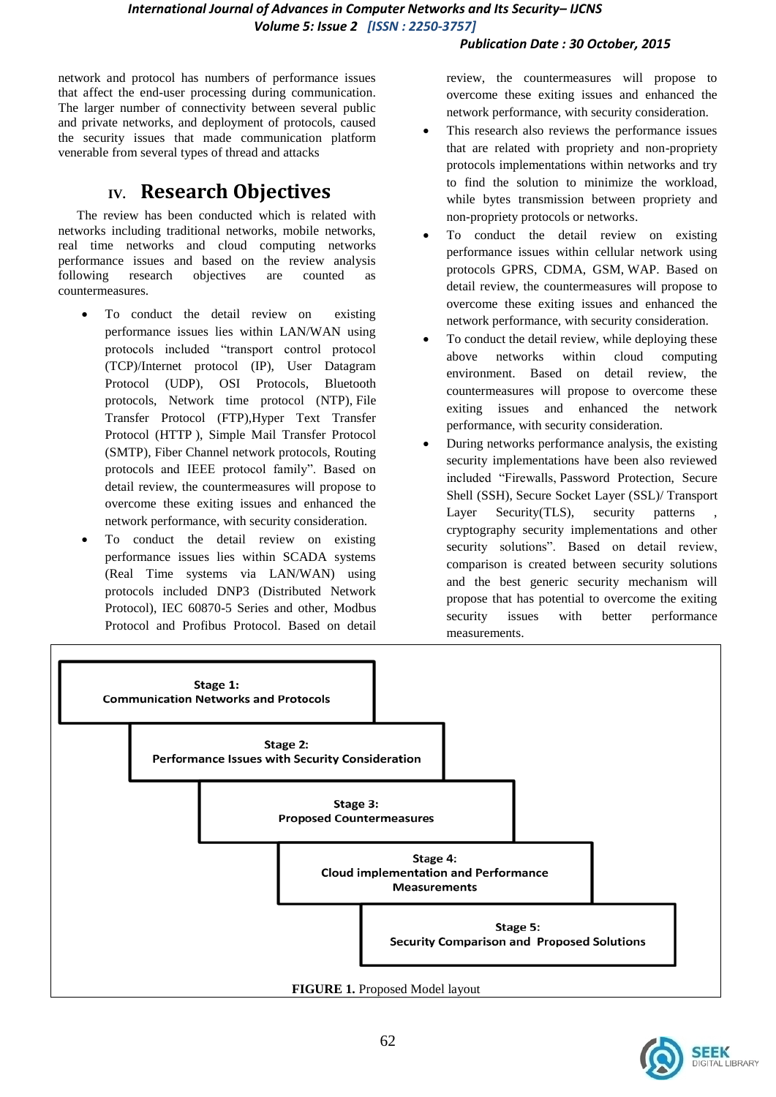#### *Publication Date : 30 October, 2015*

network and protocol has numbers of performance issues that affect the end-user processing during communication. The larger number of connectivity between several public and private networks, and deployment of protocols, caused the security issues that made communication platform venerable from several types of thread and attacks

# **IV. Research Objectives**

The review has been conducted which is related with networks including traditional networks, mobile networks, real time networks and cloud computing networks performance issues and based on the review analysis following research objectives are counted as countermeasures.

- To conduct the detail review on existing performance issues lies within LAN/WAN using protocols included "transport control protocol (TCP)/Internet protocol (IP), User Datagram Protocol (UDP), [OSI Protocols,](http://en.wikipedia.org/wiki/OSI_protocols) Bluetooth protocols, Network time protocol [\(NTP\)](http://en.wikipedia.org/wiki/NTP), File Transfer Protocol [\(FTP\)](http://en.wikipedia.org/wiki/FTP),Hyper Text Transfer Protocol [\(HTTP](http://en.wikipedia.org/wiki/HTTP) ), Simple Mail Transfer Protocol [\(SMTP\)](http://en.wikipedia.org/wiki/SMTP), Fiber Channel network protocols, [Routing](http://en.wikipedia.org/wiki/Routing_protocol)  [protocols](http://en.wikipedia.org/wiki/Routing_protocol) and IEEE protocol family". Based on detail review, the countermeasures will propose to overcome these exiting issues and enhanced the network performance, with security consideration.
- To conduct the detail review on existing performance issues lies within SCADA systems (Real Time systems via LAN/WAN) using protocols included [DNP3](http://en.wikipedia.org/wiki/DNP3) (Distributed Network Protocol), IEC 60870-5 Series and other, [Modbus](http://en.wikipedia.org/wiki/Modbus) Protocol and [Profibus](http://en.wikipedia.org/wiki/Profibus) Protocol. Based on detail

review, the countermeasures will propose to overcome these exiting issues and enhanced the network performance, with security consideration.

- This research also reviews the performance issues that are related with propriety and non-propriety protocols implementations within networks and try to find the solution to minimize the workload, while bytes transmission between propriety and non-propriety protocols or networks.
- To conduct the detail review on existing performance issues within cellular network using protocols GPRS, CDMA, GSM, WAP. Based on detail review, the countermeasures will propose to overcome these exiting issues and enhanced the network performance, with security consideration.
- To conduct the detail review, while deploying these above networks within cloud computing environment. Based on detail review, the countermeasures will propose to overcome these exiting issues and enhanced the network performance, with security consideration.
- During networks performance analysis, the existing security implementations have been also reviewed included "Firewalls, Password Protection, Secure Shell [\(SSH\)](http://en.wikipedia.org/wiki/Secure_Shell), Secure Socket Layer [\(SSL\)](http://en.wikipedia.org/wiki/Secure_Sockets_Layer)/ Transport Layer Security[\(TLS\)](http://en.wikipedia.org/wiki/Transport_Layer_Security), security patterns cryptography security implementations and other security solutions". Based on detail review, comparison is created between security solutions and the best generic security mechanism will propose that has potential to overcome the exiting security issues with better performance measurements.



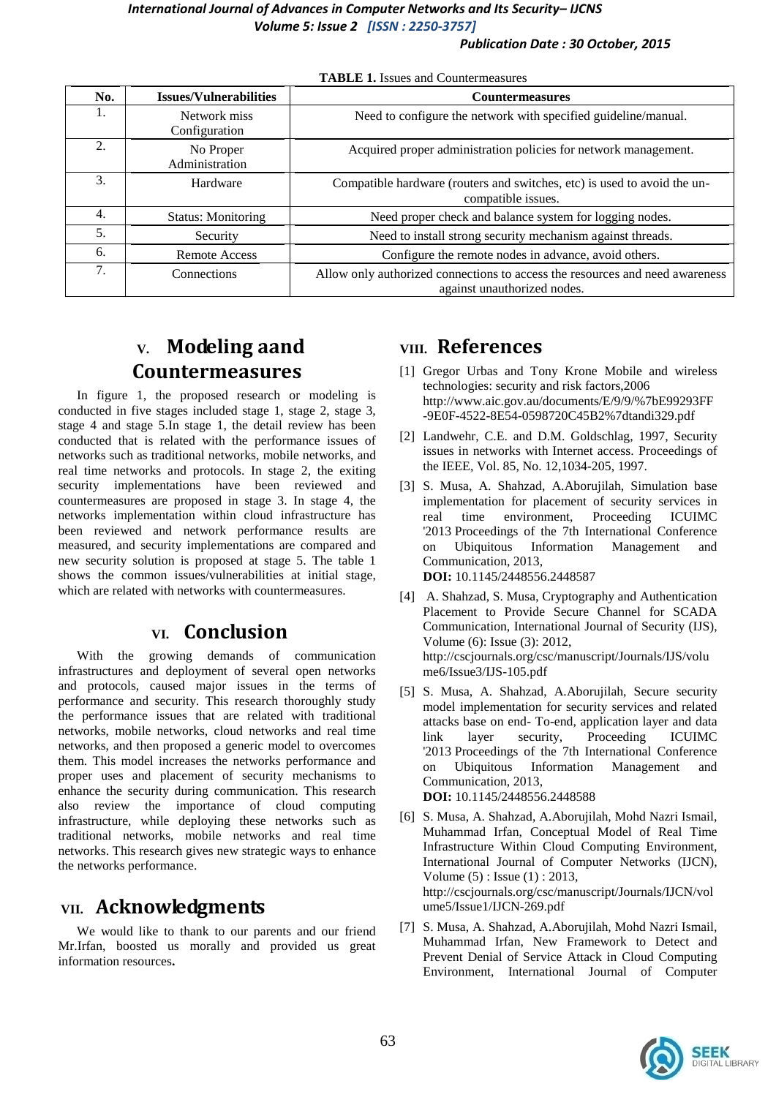#### *International Journal of Advances in Computer Networks and Its Security– IJCNS Volume 5: Issue 2 [ISSN : 2250-3757]*

#### *Publication Date : 30 October, 2015*

| No. | <b>Issues/Vulnerabilities</b> | <b>Countermeasures</b>                                                                                      |
|-----|-------------------------------|-------------------------------------------------------------------------------------------------------------|
|     | Network miss<br>Configuration | Need to configure the network with specified guideline/manual.                                              |
| 2.  | No Proper<br>Administration   | Acquired proper administration policies for network management.                                             |
| 3.  | Hardware                      | Compatible hardware (routers and switches, etc) is used to avoid the un-<br>compatible issues.              |
| 4.  | <b>Status: Monitoring</b>     | Need proper check and balance system for logging nodes.                                                     |
| 5.  | Security                      | Need to install strong security mechanism against threads.                                                  |
| 6.  | <b>Remote Access</b>          | Configure the remote nodes in advance, avoid others.                                                        |
| 7.  | Connections                   | Allow only authorized connections to access the resources and need awareness<br>against unauthorized nodes. |

**TABLE 1.** Issues and Countermeasures

# **V. Modeling aand Countermeasures**

In figure 1, the proposed research or modeling is conducted in five stages included stage 1, stage 2, stage 3, stage 4 and stage 5.In stage 1, the detail review has been conducted that is related with the performance issues of networks such as traditional networks, mobile networks, and real time networks and protocols. In stage 2, the exiting security implementations have been reviewed and countermeasures are proposed in stage 3. In stage 4, the networks implementation within cloud infrastructure has been reviewed and network performance results are measured, and security implementations are compared and new security solution is proposed at stage 5. The table 1 shows the common issues/vulnerabilities at initial stage, which are related with networks with countermeasures.

# **VI. Conclusion**

With the growing demands of communication infrastructures and deployment of several open networks and protocols, caused major issues in the terms of performance and security. This research thoroughly study the performance issues that are related with traditional networks, mobile networks, cloud networks and real time networks, and then proposed a generic model to overcomes them. This model increases the networks performance and proper uses and placement of security mechanisms to enhance the security during communication. This research also review the importance of cloud computing infrastructure, while deploying these networks such as traditional networks, mobile networks and real time networks. This research gives new strategic ways to enhance the networks performance.

# **VII. Acknowledgments**

We would like to thank to our parents and our friend Mr.Irfan, boosted us morally and provided us great information resources**.**

# **VIII. References**

- [1] Gregor Urbas and Tony Krone Mobile and wireless technologies: security and risk factors,2006 http://www.aic.gov.au/documents/E/9/9/%7bE99293FF -9E0F-4522-8E54-0598720C45B2%7dtandi329.pdf
- [2] Landwehr, C.E. and D.M. Goldschlag, 1997, Security issues in networks with Internet access. Proceedings of the IEEE, Vol. 85, No. 12,1034-205, 1997.
- [3] S. Musa, A. Shahzad, A.Aborujilah, Simulation base implementation for placement of security services in real time environment, Proceeding ICUIMC '2013 Proceedings of the 7th International Conference on Ubiquitous Information Management and Communication, 2013, **DOI:** 10.1145/2448556.2448587
- [4] A. Shahzad, S. Musa, Cryptography and Authentication Placement to Provide Secure Channel for SCADA Communication, International Journal of Security (IJS), Volume (6): Issue (3): 2012, http://cscjournals.org/csc/manuscript/Journals/IJS/volu me6/Issue3/IJS-105.pdf
- [5] S. Musa, A. Shahzad, A.Aborujilah, Secure security model implementation for security services and related attacks base on end- To-end, application layer and data link layer security, Proceeding ICUIMC '2013 Proceedings of the 7th International Conference on Ubiquitous Information Management and Communication, 2013, **DOI:** 10.1145/2448556.2448588
- [6] S. Musa, A. Shahzad, A.Aborujilah, Mohd Nazri Ismail, Muhammad Irfan, Conceptual Model of Real Time Infrastructure Within Cloud Computing Environment, International Journal of Computer Networks (IJCN), Volume (5) : Issue (1) : 2013, http://cscjournals.org/csc/manuscript/Journals/IJCN/vol ume5/Issue1/IJCN-269.pdf
- [7] S. Musa, A. Shahzad, A.Aborujilah, Mohd Nazri Ismail, Muhammad Irfan, New Framework to Detect and Prevent Denial of Service Attack in Cloud Computing Environment, International Journal of Computer